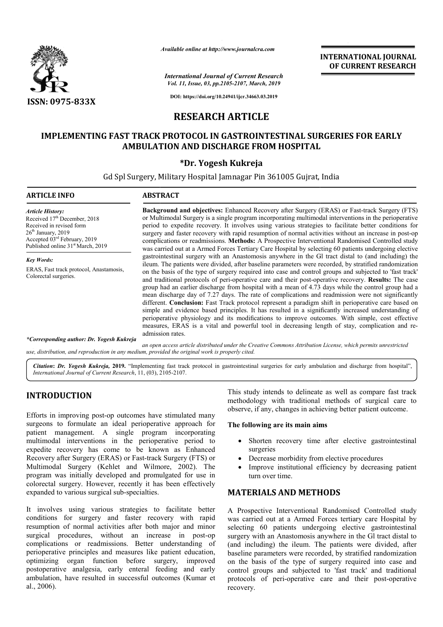

*Available online at http://www.journalcra.com*

*International Journal of Current Research Vol. 11, Issue, 03, pp.2105-2107, March, 2019*

**INTERNATIONAL JOURNAL OF CURRENT RESEARCH**

**DOI: https://doi.org/10.24941/ijcr.34663.03.2019**

# **RESEARCH ARTICLE**

# **IMPLEMENTING FAST TRACK PROTOCOL IN GASTROINTESTINAL SURGERIES FOR EARLY AMBULATION AND DISCHARGE FROM HOSPITAL AMBULATION**

## **\*Dr. Yogesh Kukreja**

Gd Spl Surgery, Military Hospital Jamnagar Pin 361005 Gujrat, India

| <b>ARTICLE INFO</b>                                                                                                                                                                                                  | <b>ABSTRACT</b>                                                                                                                                                                                                                                                                                                                                                                                                                                                                                                                                                                                                                                                                                                                                                                                                                                                                                                                                                                                                                                                   |
|----------------------------------------------------------------------------------------------------------------------------------------------------------------------------------------------------------------------|-------------------------------------------------------------------------------------------------------------------------------------------------------------------------------------------------------------------------------------------------------------------------------------------------------------------------------------------------------------------------------------------------------------------------------------------------------------------------------------------------------------------------------------------------------------------------------------------------------------------------------------------------------------------------------------------------------------------------------------------------------------------------------------------------------------------------------------------------------------------------------------------------------------------------------------------------------------------------------------------------------------------------------------------------------------------|
| <b>Article History:</b><br>Received 17 <sup>th</sup> December, 2018<br>Received in revised form<br>$26th$ January, 2019<br>Accepted 03 <sup>rd</sup> February, 2019<br>Published online 31 <sup>st</sup> March, 2019 | <b>Background and objectives:</b> Enhanced Recovery after Surgery (ERAS) or Fast-track Surgery (FTS)<br>or Multimodal Surgery is a single program incorporating multimodal interventions in the perioperative<br>period to expedite recovery. It involves using various strategies to facilitate better conditions for<br>surgery and faster recovery with rapid resumption of normal activities without an increase in post-op<br>complications or readmissions. Methods: A Prospective Interventional Randomised Controlled study<br>was carried out at a Armed Forces Tertiary Care Hospital by selecting 60 patients undergoing elective                                                                                                                                                                                                                                                                                                                                                                                                                      |
| <b>Key Words:</b>                                                                                                                                                                                                    | gastrointestinal surgery with an Anastomosis anywhere in the GI tract distal to (and including) the<br>ileum. The patients were divided, after baseline parameters were recorded, by stratified randomization<br>on the basis of the type of surgery required into case and control groups and subjected to 'fast track'<br>and traditional protocols of peri-operative care and their post-operative recovery. Results: The case<br>group had an earlier discharge from hospital with a mean of 4.73 days while the control group had a<br>mean discharge day of 7.27 days. The rate of complications and readmission were not significantly<br>different. Conclusion: Fast Track protocol represent a paradigm shift in perioperative care based on<br>simple and evidence based principles. It has resulted in a significantly increased understanding of<br>perioperative physiology and its modifications to improve outcomes. With simple, cost effective<br>measures, ERAS is a vital and powerful tool in decreasing length of stay, complication and re- |
| ERAS, Fast track protocol, Anastamosis,<br>Colorectal surgeries.                                                                                                                                                     |                                                                                                                                                                                                                                                                                                                                                                                                                                                                                                                                                                                                                                                                                                                                                                                                                                                                                                                                                                                                                                                                   |
| *Corresponding author: Dr. Yogesh Kukreja                                                                                                                                                                            | admission rates.<br>$\alpha$ , and according to the theory of the transfer $\alpha$ , and $\alpha$ and the transfer that the control of the control of the transfer $I$                                                                                                                                                                                                                                                                                                                                                                                                                                                                                                                                                                                                                                                                                                                                                                                                                                                                                           |

an open access article distributed under the Creative Commons Attribution License, which permits unrestricted *use, distribution, and reproduction in any medium, provided the original work is properly cited.*

Citation: Dr. Yogesh Kukreja, 2019. "Implementing fast track protocol in gastrointestinal surgeries for early ambulation and discharge from hospital", **Citation: Dr. Yogesh Kukreja, 2019.** "Implementing fast tractional Journal of Current Research, 11, (03), 2105-2107.

# **INTRODUCTION**

Efforts in improving post-op outcomes have stimulated many Efforts in improving post-op outcomes have stimulated many<br>surgeons to formulate an ideal perioperative approach for patient management. A single program incorporating multimodal interventions in the perioperative period to expedite recovery has come to be known as Enhanced Recovery after Surgery (ERAS) or Fast-track Surgery (FTS) or Recovery after Surgery (ERAS) or Fast-track Surgery (FTS) or<br>Multimodal Surgery (Kehlet and Wilmore, 2002). The program was initially developed and promulgated for use in colorectal surgery. However, recently it has been effectively expanded to various surgical sub-specialties.

It involves using various strategies to facilitate better conditions for surgery and faster recovery with rapid resumption of normal activities after both major and minor surgical procedures, without an increase in post-op complications or readmissions. Better understanding of perioperative principles and measures like patient education, optimizing organ function before surgery, improved postoperative analgesia, early enteral feeding and early ambulation, have resulted in successful outcomes (Kumar et al., 2006). s like patient education,<br>re surgery, improved<br>ral feeding and early<br>ful outcomes (Kumar et This study intends to delineate as well as compare fast track methodology with traditional methods of surgical care to observe, if any, changes in achieving better patient outcome. te as well as compare fast tra<br>il methods of surgical care<br>nieving better patient outcome.

#### **The following are its main aims**

- Shorten recovery time after elective gastrointestinal surgeries • Shorten recovery time after elective gastrointestinal surgeries<br>
• Decrease morbidity from elective procedures<br>
• Improve institutional efficiency by decreasing patient
- Decrease morbidity from elective procedures
- turn over time.

### **MATERIALS AND METHODS METHODS**

A Prospective Interventional Randomised Controlled study was carried out at a Armed Forces tertiary care Hospital by selecting 60 patients undergoing elective gastrointestinal surgery with an Anastomosis anywhere in the Gl tract distal to (and including) the ileum. The patients were divided, after baseline parameters were recorded, by stratified randomization on the basis of the type of surgery required into case and control groups and subjected to 'fast track' and traditional protocols of peri-operative care and their post recovery. A Prospective Interventional Randomised Controlled study was carried out at a Armed Forces tertiary care Hospital by selecting 60 patients undergoing elective gastrointestinal surgery with an Anastomosis anywhere in the Gl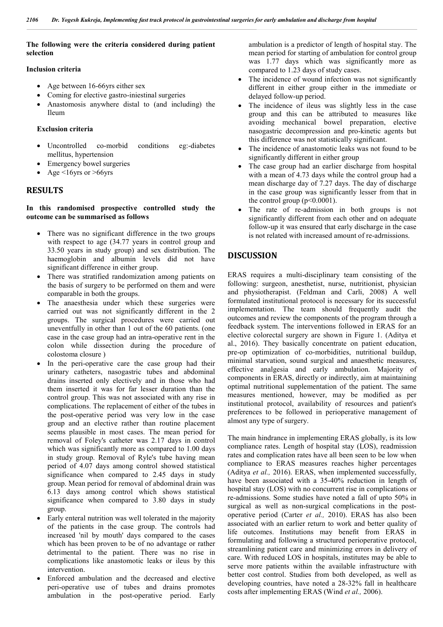### **The following were the criteria considered during patient selection**

#### **Inclusion criteria**

- Age between 16-66 yrs either sex
- Coming for elective gastro-iniestinal surgeries
- Anastomosis anywhere distal to (and including) the Ileum

#### **Exclusion criteria**

- Uncontrolled co-morbid conditions eg:-diabetes mellitus, hypertension
- Emergency bowel surgeries
- Age <16yrs or >66yrs

#### **RESULTS**

#### **In this randomised prospective controlled study the outcome can be summarised as follows**

- There was no significant difference in the two groups with respect to age (34.77 years in control group and 33.50 years in study group) and sex distribution. The haemoglobin and albumin levels did not have significant difference in either group.
- There was stratified randomization among patients on the basis of surgery to be performed on them and were comparable in both the groups.
- The anaesthesia under which these surgeries were carried out was not significantly different in the 2 groups. The surgical procedures were carried out uneventfully in other than 1 out of the 60 patients. (one case in the case group had an intra-operative rent in the colon while dissection during the procedure of colostoma closure )
- In the peri-operative care the case group had their urinary catheters, nasogastric tubes and abdominal drains inserted only electively and in those who had them inserted it was for far lesser duration than the control group. This was not associated with any rise in complications. The replacement of either of the tubes in the post-operative period was very low in the case group and an elective rather than routine placement seems plausible in most cases. The mean period for removal of Foley's catheter was 2.17 days in control which was significantly more as compared to 1.00 days in study group. Removal of Ryle's tube having mean period of 4.07 days among control showed statistical significance when compared to 2.45 days in study group. Mean period for removal of abdominal drain was 6.13 days among control which shows statistical significance when compared to 3.80 days in study group.
- Early enteral nutrition was well tolerated in the majority of the patients in the case group. The controls had increased 'nil by mouth' days compared to the cases which has been proven to be of no advantage or rather detrimental to the patient. There was no rise in complications like anastomotic leaks or ileus by this intervention.
- Enforced ambulation and the decreased and elective peri-operative use of tubes and drains promotes ambulation in the post-operative period. Early

ambulation is a predictor of length of hospital stay. The mean period for starting of ambulation for control group was 1.77 days which was significantly more as compared to 1.23 days of study cases.

- The incidence of wound infection was not significantly different in either group either in the immediate or delayed follow-up period.
- The incidence of ileus was slightly less in the case group and this can be attributed to measures like avoiding mechanical bowel preparation, elective nasogastric decompression and pro-kinetic agents but this difference was not statistically significant.
- The incidence of anastomotic leaks was not found to be significantly different in either group
- The case group had an earlier discharge from hospital with a mean of 4.73 days while the control group had a mean discharge day of 7.27 days. The day of discharge in the case group was significantly lesser from that in the control group  $(p<0.0001)$ .
- The rate of re-admission in both groups is not significantly different from each other and on adequate follow-up it was ensured that early discharge in the case is not related with increased amount of re-adrnissions.

## **DISCUSSION**

ERAS requires a multi-disciplinary team consisting of the following: surgeon, anesthetist, nurse, nutritionist, physician and physiotherapist. (Feldman and Carli, 2008) A well formulated institutional protocol is necessary for its successful implementation. The team should frequently audit the outcomes and review the components of the program through a feedback system. The interventions followed in ERAS for an elective colorectal surgery are shown in Figure 1. (Aditya et al., 2016). They basically concentrate on patient education, pre-op optimization of co-morbidities, nutritional buildup, minimal starvation, sound surgical and anaesthetic measures, effective analgesia and early ambulation. Majority of components in ERAS, directly or indirectly, aim at maintaining optimal nutritional supplementation of the patient. The same measures mentioned, however, may be modified as per institutional protocol, availability of resources and patient's preferences to be followed in perioperative management of almost any type of surgery.

The main hindrance in implementing ERAS globally, is its low compliance rates. Length of hospital stay (LOS), readmission rates and complication rates have all been seen to be low when compliance to ERAS measures reaches higher percentages (Aditya *et al.,* 2016). ERAS, when implemented successfully, have been associated with a 35-40% reduction in length of hospital stay (LOS) with no concurrent rise in complications or re-admissions. Some studies have noted a fall of upto 50% in surgical as well as non-surgical complications in the postoperative period (Carter *et al.,* 2010). ERAS has also been associated with an earlier return to work and better quality of life outcomes. Institutions may benefit from ERAS in formulating and following a structured perioperative protocol, streamlining patient care and minimizing errors in delivery of care. With reduced LOS in hospitals, institutes may be able to serve more patients within the available infrastructure with better cost control. Studies from both developed, as well as developing countries, have noted a 28-32% fall in healthcare costs after implementing ERAS (Wind *et al.,* 2006).